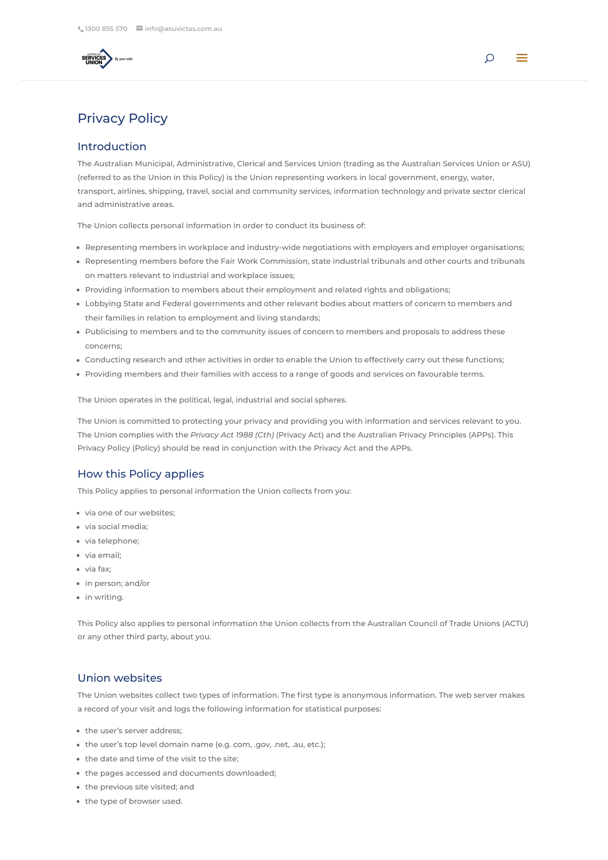# Privacy Policy

## Introduction

The Australian Municipal, Administrative, Clerical and Services Union (trading as the Australian Services Union or ASU) (referred to as the Union in this Policy) is the Union representing workers in local government, energy, water, transport, airlines, shipping, travel, social and community services, information technology and private sector clerical and administrative areas.

The Union collects personal information in order to conduct its business of:

- Representing members in workplace and industry-wide negotiations with employers and employer organisations;
- Representing members before the Fair Work Commission, state industrial tribunals and other courts and tribunals on matters relevant to industrial and workplace issues;
- Providing information to members about their employment and related rights and obligations;
- Lobbying State and Federal governments and other relevant bodies about matters of concern to members and their families in relation to employment and living standards;
- Publicising to members and to the community issues of concern to members and proposals to address these concerns;
- Conducting research and other activities in order to enable the Union to effectively carry out these functions;
- Providing members and their families with access to a range of goods and services on favourable terms.

The Union operates in the political, legal, industrial and social spheres.

The Union is committed to protecting your privacy and providing you with information and services relevant to you. The Union complies with the *Privacy Act 1988 (Cth)* (Privacy Act) and the Australian Privacy Principles (APPs). This Privacy Policy (Policy) should be read in conjunction with the Privacy Act and the APPs.

### How this Policy applies

This Policy applies to personal information the Union collects from you:

- via one of our websites;
- via social media;
- via telephone;
- via email;
- via fax:
- in person; and/or
- in writing.

This Policy also applies to personal information the Union collects from the Australian Council of Trade Unions (ACTU) or any other third party, about you.

## Union websites

The Union websites collect two types of information. The first type is anonymous information. The web server makes a record of your visit and logs the following information for statistical purposes:

- the user's server address;
- the user's top level domain name (e.g. com, .gov, .net, .au, etc.);
- the date and time of the visit to the site;
- the pages accessed and documents downloaded;
- the previous site visited; and
- the type of browser used.



 $\Omega$  =  $\alpha$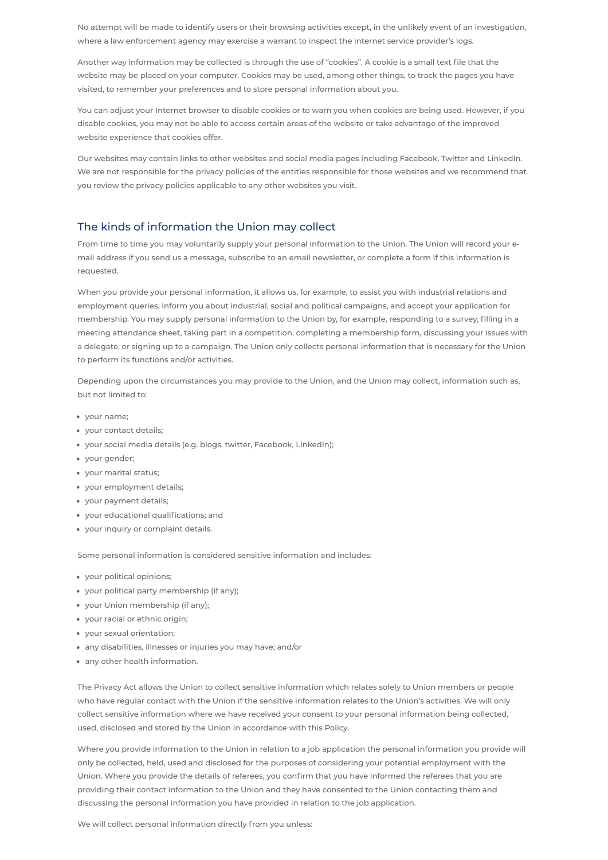No attempt will be made to identify users or their browsing activities except, in the unlikely event of an investigation, where a law enforcement agency may exercise a warrant to inspect the internet service provider's logs.

Another way information may be collected is through the use of "cookies". A cookie is a small text file that the website may be placed on your computer. Cookies may be used, among other things, to track the pages you have visited, to remember your preferences and to store personal information about you.

You can adjust your Internet browser to disable cookies or to warn you when cookies are being used. However, if you disable cookies, you may not be able to access certain areas of the website or take advantage of the improved website experience that cookies offer.

Our websites may contain links to other websites and social media pages including Facebook, Twitter and LinkedIn. We are not responsible for the privacy policies of the entities responsible for those websites and we recommend that you review the privacy policies applicable to any other websites you visit.

# The kinds of information the Union may collect

From time to time you may voluntarily supply your personal information to the Union. The Union will record your email address if you send us a message, subscribe to an email newsletter, or complete a form if this information is requested.

When you provide your personal information, it allows us, for example, to assist you with industrial relations and employment queries, inform you about industrial, social and political campaigns, and accept your application for membership. You may supply personal information to the Union by, for example, responding to a survey, filling in a meeting attendance sheet, taking part in a competition, completing a membership form, discussing your issues with a delegate, or signing up to a campaign. The Union only collects personal information that is necessary for the Union to perform its functions and/or activities.

Depending upon the circumstances you may provide to the Union, and the Union may collect, information such as, but not limited to:

- your name;
- your contact details;
- your social media details (e.g. blogs, twitter, Facebook, LinkedIn);
- your gender;
- your marital status;
- your employment details;
- your payment details;
- your educational qualifications; and
- your inquiry or complaint details.

Some personal information is considered sensitive information and includes:

- your political opinions;
- your political party membership (if any);
- your Union membership (if any);
- your racial or ethnic origin;
- your sexual orientation;
- any disabilities, illnesses or injuries you may have; and/or
	-
- any other health information.

The Privacy Act allows the Union to collect sensitive information which relates solely to Union members or people who have regular contact with the Union if the sensitive information relates to the Union's activities. We will only collect sensitive information where we have received your consent to your personal information being collected, used, disclosed and stored by the Union in accordance with this Policy.

Where you provide information to the Union in relation to a job application the personal information you provide will only be collected, held, used and disclosed for the purposes of considering your potential employment with the Union. Where you provide the details of referees, you confirm that you have informed the referees that you are providing their contact information to the Union and they have consented to the Union contacting them and discussing the personal information you have provided in relation to the job application.

We will collect personal information directly from you unless: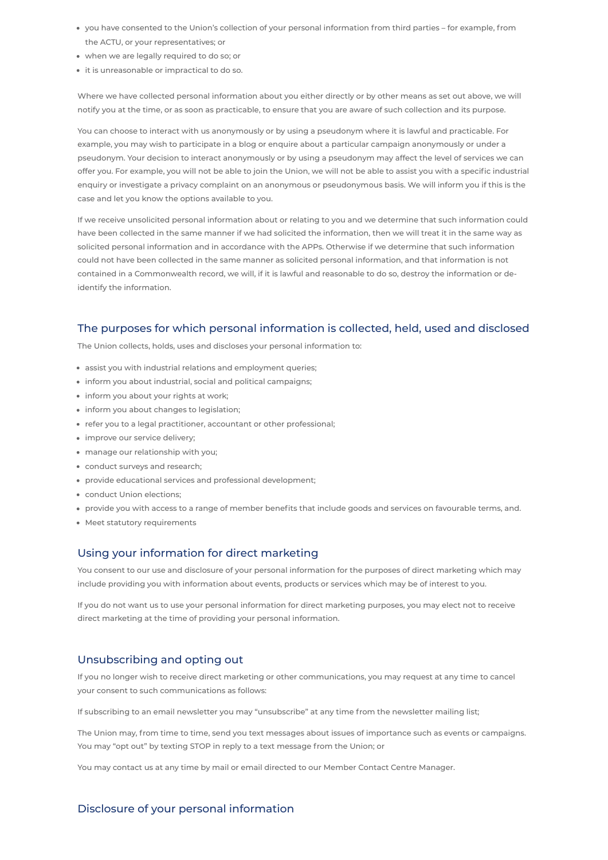- you have consented to the Union's collection of your personal information from third parties for example, from the ACTU, or your representatives; or
- when we are legally required to do so; or
- it is unreasonable or impractical to do so.

Where we have collected personal information about you either directly or by other means as set out above, we will notify you at the time, or as soon as practicable, to ensure that you are aware of such collection and its purpose.

You can choose to interact with us anonymously or by using a pseudonym where it is lawful and practicable. For example, you may wish to participate in a blog or enquire about a particular campaign anonymously or under a pseudonym. Your decision to interact anonymously or by using a pseudonym may affect the level of services we can offer you. For example, you will not be able to join the Union, we will not be able to assist you with a specific industrial enquiry or investigate a privacy complaint on an anonymous or pseudonymous basis. We will inform you if this is the case and let you know the options available to you.

If we receive unsolicited personal information about or relating to you and we determine that such information could have been collected in the same manner if we had solicited the information, then we will treat it in the same way as solicited personal information and in accordance with the APPs. Otherwise if we determine that such information could not have been collected in the same manner as solicited personal information, and that information is not contained in a Commonwealth record, we will, if it is lawful and reasonable to do so, destroy the information or deidentify the information.

# The purposes for which personal information is collected, held, used and disclosed

The Union collects, holds, uses and discloses your personal information to:

- assist you with industrial relations and employment queries;
- inform you about industrial, social and political campaigns;
- inform you about your rights at work;
- inform you about changes to legislation;
- refer you to a legal practitioner, accountant or other professional;
- improve our service delivery;
- manage our relationship with you;
- conduct surveys and research;
- provide educational services and professional development;
- conduct Union elections;
- provide you with access to a range of member benefits that include goods and services on favourable terms, and.
- Meet statutory requirements

# Using your information for direct marketing

You consent to our use and disclosure of your personal information for the purposes of direct marketing which may include providing you with information about events, products or services which may be of interest to you.

If you do not want us to use your personal information for direct marketing purposes, you may elect not to receive direct marketing at the time of providing your personal information.

## Unsubscribing and opting out

If you no longer wish to receive direct marketing or other communications, you may request at any time to cancel your consent to such communications as follows:

If subscribing to an email newsletter you may "unsubscribe" at any time from the newsletter mailing list;

The Union may, from time to time, send you text messages about issues of importance such as events or campaigns. You may "opt out" by texting STOP in reply to a text message from the Union; or

You may contact us at any time by mail or email directed to our Member Contact Centre Manager.

Disclosure of your personal information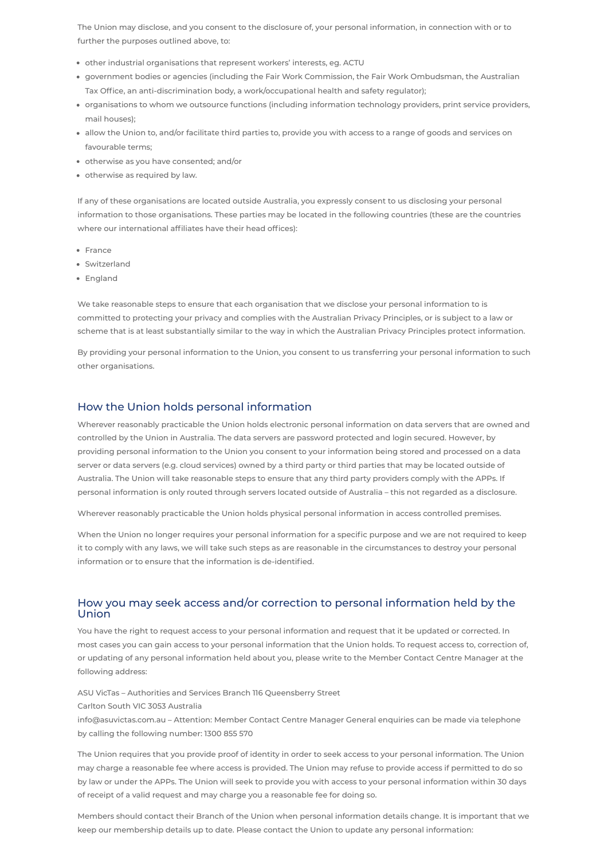The Union may disclose, and you consent to the disclosure of, your personal information, in connection with or to further the purposes outlined above, to:

- other industrial organisations that represent workers' interests, eg. ACTU
- government bodies or agencies (including the Fair Work Commission, the Fair Work Ombudsman, the Australian Tax Office, an anti-discrimination body, a work/occupational health and safety regulator);
- organisations to whom we outsource functions (including information technology providers, print service providers, mail houses);
- allow the Union to, and/or facilitate third parties to, provide you with access to a range of goods and services on favourable terms;
- otherwise as you have consented; and/or
- otherwise as required by law.

- France
- Switzerland
- England

If any of these organisations are located outside Australia, you expressly consent to us disclosing your personal information to those organisations. These parties may be located in the following countries (these are the countries where our international affiliates have their head offices):

We take reasonable steps to ensure that each organisation that we disclose your personal information to is committed to protecting your privacy and complies with the Australian Privacy Principles, or is subject to a law or scheme that is at least substantially similar to the way in which the Australian Privacy Principles protect information.

By providing your personal information to the Union, you consent to us transferring your personal information to such other organisations.

#### How the Union holds personal information

Wherever reasonably practicable the Union holds electronic personal information on data servers that are owned and controlled by the Union in Australia. The data servers are password protected and login secured. However, by providing personal information to the Union you consent to your information being stored and processed on a data server or data servers (e.g. cloud services) owned by a third party or third parties that may be located outside of Australia. The Union will take reasonable steps to ensure that any third party providers comply with the APPs. If personal information is only routed through servers located outside of Australia – this not regarded as a disclosure.

Wherever reasonably practicable the Union holds physical personal information in access controlled premises.

When the Union no longer requires your personal information for a specific purpose and we are not required to keep it to comply with any laws, we will take such steps as are reasonable in the circumstances to destroy your personal information or to ensure that the information is de-identified.

### How you may seek access and/or correction to personal information held by the Union

You have the right to request access to your personal information and request that it be updated or corrected. In most cases you can gain access to your personal information that the Union holds. To request access to, correction of,

or updating of any personal information held about you, please write to the Member Contact Centre Manager at the following address:

ASU VicTas – Authorities and Services Branch 116 Queensberry Street

Carlton South VIC 3053 Australia

info@asuvictas.com.au – Attention: Member Contact Centre Manager General enquiries can be made via telephone by calling the following number: 1300 855 570

The Union requires that you provide proof of identity in order to seek access to your personal information. The Union may charge a reasonable fee where access is provided. The Union may refuse to provide access if permitted to do so by law or under the APPs. The Union will seek to provide you with access to your personal information within 30 days of receipt of a valid request and may charge you a reasonable fee for doing so.

Members should contact their Branch of the Union when personal information details change. It is important that we keep our membership details up to date. Please contact the Union to update any personal information: